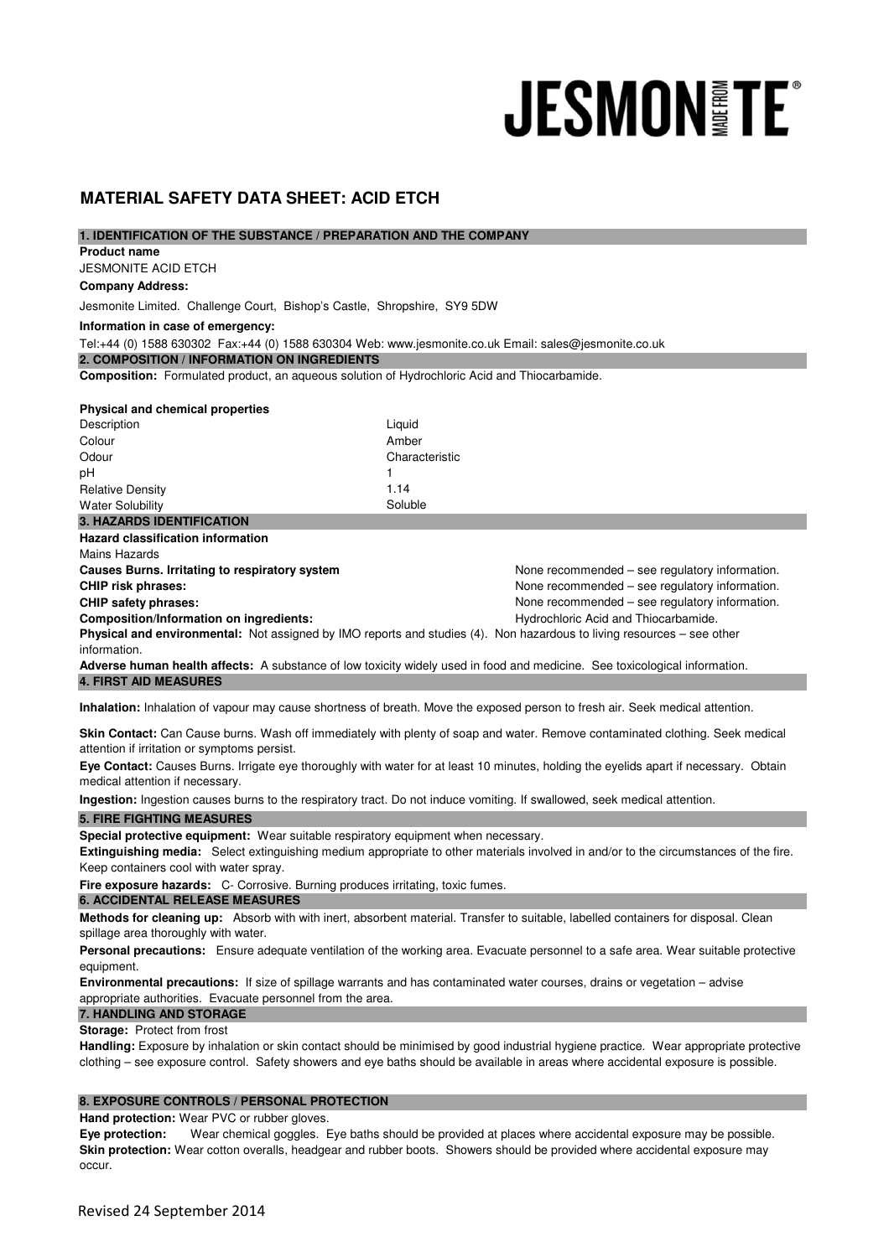# **JESMON FE**

# **MATERIAL SAFETY DATA SHEET: ACID ETCH**

## **1. IDENTIFICATION OF THE SUBSTANCE / PREPARATION AND THE COMPANY**

JESMONITE ACID ETCH **Product name** 

# **Company Address:**

Jesmonite Limited. Challenge Court, Bishop's Castle, Shropshire, SY9 5DW

## **Information in case of emergency:**

Tel:+44 (0) 1588 630302 Fax:+44 (0) 1588 630304 Web: www.jesmonite.co.uk Email: sales@jesmonite.co.uk

**2. COMPOSITION / INFORMATION ON INGREDIENTS** 

**Composition:** Formulated product, an aqueous solution of Hydrochloric Acid and Thiocarbamide.

### **Physical and chemical properties**

| Description             | Liquid         |
|-------------------------|----------------|
| Colour                  | Amber          |
| Odour                   | Characteristic |
| рH                      |                |
| <b>Relative Density</b> | 1.14           |
| <b>Water Solubility</b> | Soluble        |

## **3. HAZARDS IDENTIFICATION**

**Hazard classification information**

Mains Hazards

**Causes Burns. Irritating to respiratory system** None recommended – see regulatory information. **CHIP risk phrases:**  $\blacksquare$  None recommended – see regulatory information. **CHIP safety phrases:**  $\blacksquare$  None recommended – see regulatory information. **Composition/Information on ingredients: Acidemy of the Composition Acid and Thiocarbamide. Physical and environmental:** Not assigned by IMO reports and studies (4). Non hazardous to living resources – see other

information.

**Adverse human health affects:** A substance of low toxicity widely used in food and medicine. See toxicological information. **4. FIRST AID MEASURES** 

**Inhalation:** Inhalation of vapour may cause shortness of breath. Move the exposed person to fresh air. Seek medical attention.

**Skin Contact:** Can Cause burns. Wash off immediately with plenty of soap and water. Remove contaminated clothing. Seek medical attention if irritation or symptoms persist.

**Eye Contact:** Causes Burns. Irrigate eye thoroughly with water for at least 10 minutes, holding the eyelids apart if necessary. Obtain medical attention if necessary.

**Ingestion:** Ingestion causes burns to the respiratory tract. Do not induce vomiting. If swallowed, seek medical attention.

## **5. FIRE FIGHTING MEASURES**

**Special protective equipment:** Wear suitable respiratory equipment when necessary.

**Extinguishing media:** Select extinguishing medium appropriate to other materials involved in and/or to the circumstances of the fire. Keep containers cool with water spray.

**Fire exposure hazards:** C- Corrosive. Burning produces irritating, toxic fumes.

### **6. ACCIDENTAL RELEASE MEASURES**

**Methods for cleaning up:** Absorb with with inert, absorbent material. Transfer to suitable, labelled containers for disposal. Clean spillage area thoroughly with water.

**Personal precautions:** Ensure adequate ventilation of the working area. Evacuate personnel to a safe area. Wear suitable protective equipment.

**Environmental precautions:** If size of spillage warrants and has contaminated water courses, drains or vegetation – advise appropriate authorities. Evacuate personnel from the area.

## **7. HANDLING AND STORAGE**

**Storage:** Protect from frost

**Handling:** Exposure by inhalation or skin contact should be minimised by good industrial hygiene practice. Wear appropriate protective clothing – see exposure control. Safety showers and eye baths should be available in areas where accidental exposure is possible.

## **8. EXPOSURE CONTROLS / PERSONAL PROTECTION**

**Hand protection:** Wear PVC or rubber gloves.

**Eye protection:** Wear chemical goggles. Eye baths should be provided at places where accidental exposure may be possible. **Skin protection:** Wear cotton overalls, headgear and rubber boots. Showers should be provided where accidental exposure may occur.